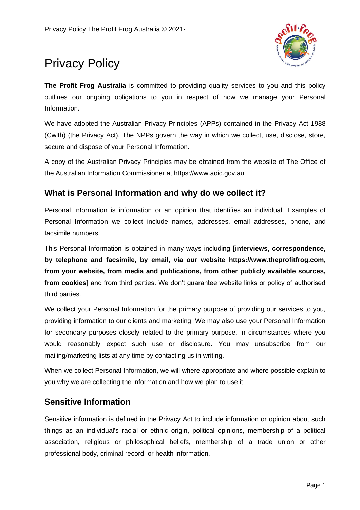

# Privacy Policy

**The Profit Frog Australia** is committed to providing quality services to you and this policy outlines our ongoing obligations to you in respect of how we manage your Personal Information.

We have adopted the Australian Privacy Principles (APPs) contained in the Privacy Act 1988 (Cwlth) (the Privacy Act). The NPPs govern the way in which we collect, use, disclose, store, secure and dispose of your Personal Information.

A copy of the Australian Privacy Principles may be obtained from the website of The Office of the Australian Information Commissioner at https://www.aoic.gov.au

# **What is Personal Information and why do we collect it?**

Personal Information is information or an opinion that identifies an individual. Examples of Personal Information we collect include names, addresses, email addresses, phone, and facsimile numbers.

This Personal Information is obtained in many ways including **[interviews, correspondence, by telephone and facsimile, by email, via our website https://www.theprofitfrog.com, from your website, from media and publications, from other publicly available sources, from cookies]** and from third parties. We don't guarantee website links or policy of authorised third parties.

We collect your Personal Information for the primary purpose of providing our services to you, providing information to our clients and marketing. We may also use your Personal Information for secondary purposes closely related to the primary purpose, in circumstances where you would reasonably expect such use or disclosure. You may unsubscribe from our mailing/marketing lists at any time by contacting us in writing.

When we collect Personal Information, we will where appropriate and where possible explain to you why we are collecting the information and how we plan to use it.

# **Sensitive Information**

Sensitive information is defined in the Privacy Act to include information or opinion about such things as an individual's racial or ethnic origin, political opinions, membership of a political association, religious or philosophical beliefs, membership of a trade union or other professional body, criminal record, or health information.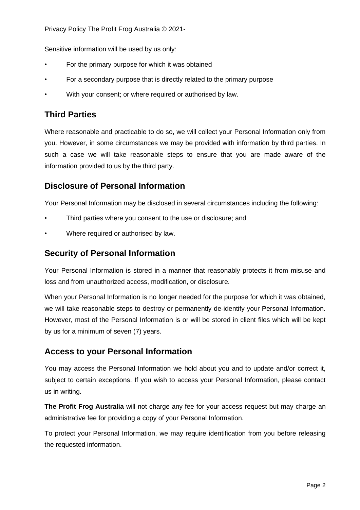Privacy Policy The Profit Frog Australia © 2021-

Sensitive information will be used by us only:

- For the primary purpose for which it was obtained
- For a secondary purpose that is directly related to the primary purpose
- With your consent; or where required or authorised by law.

# **Third Parties**

Where reasonable and practicable to do so, we will collect your Personal Information only from you. However, in some circumstances we may be provided with information by third parties. In such a case we will take reasonable steps to ensure that you are made aware of the information provided to us by the third party.

# **Disclosure of Personal Information**

Your Personal Information may be disclosed in several circumstances including the following:

- Third parties where you consent to the use or disclosure; and
- Where required or authorised by law.

#### **Security of Personal Information**

Your Personal Information is stored in a manner that reasonably protects it from misuse and loss and from unauthorized access, modification, or disclosure.

When your Personal Information is no longer needed for the purpose for which it was obtained, we will take reasonable steps to destroy or permanently de-identify your Personal Information. However, most of the Personal Information is or will be stored in client files which will be kept by us for a minimum of seven (7) years.

# **Access to your Personal Information**

You may access the Personal Information we hold about you and to update and/or correct it, subject to certain exceptions. If you wish to access your Personal Information, please contact us in writing.

**The Profit Frog Australia** will not charge any fee for your access request but may charge an administrative fee for providing a copy of your Personal Information.

To protect your Personal Information, we may require identification from you before releasing the requested information.